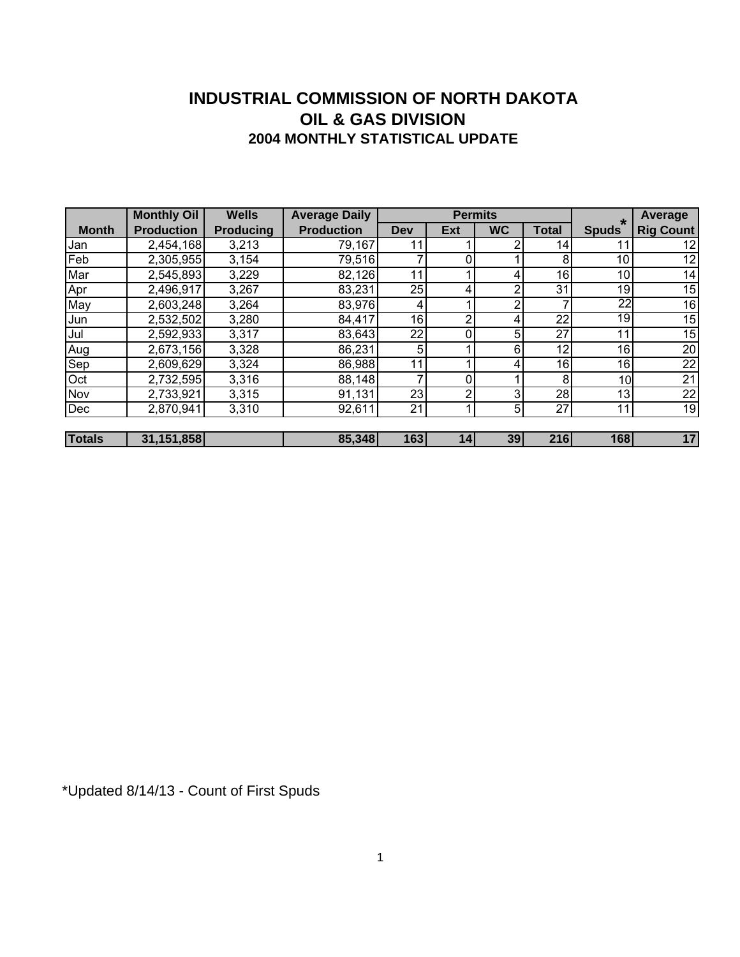#### **INDUSTRIAL COMMISSION OF NORTH DAKOTA 2004 MONTHLY STATISTICAL UPDATE OIL & GAS DIVISION**

|               | <b>Monthly Oil</b> | <b>Wells</b>     | <b>Average Daily</b> |     | <b>Permits</b> |           |              | Average         |                  |
|---------------|--------------------|------------------|----------------------|-----|----------------|-----------|--------------|-----------------|------------------|
| <b>Month</b>  | <b>Production</b>  | <b>Producing</b> | <b>Production</b>    | Dev | Ext            | <b>WC</b> | <b>Total</b> | <b>Spuds</b>    | <b>Rig Count</b> |
| Jan           | 2,454,168          | 3,213            | 79,167               | 11  |                |           | 14           | 11              | 12               |
| Feb           | 2,305,955          | 3,154            | 79,516               |     |                |           | 8            | 10              | 12               |
| Mar           | 2,545,893          | 3,229            | 82,126               | 11  |                |           | 16           | 10              | 14               |
|               | 2,496,917          | 3,267            | 83,231               | 25  | 4              | ົ         | 31           | 19              | 15               |
| Apr<br>May    | 2,603,248          | 3,264            | 83,976               | 4   |                | $\sim$    |              | $\overline{22}$ | 16               |
| Jun           | 2,532,502          | 3,280            | 84,417               | 16  | റ              |           | 22           | 19              | 15               |
| Jul           | 2,592,933          | 3,317            | 83,643               | 22  |                | 5         | 27           | 11              | 15               |
| Aug           | 2,673,156          | 3,328            | 86,231               | 5   |                | 6         | 12           | 16              | 20               |
| Sep           | 2,609,629          | 3,324            | 86,988               | 11  |                |           | 16           | 16              | 22               |
| Oct           | 2,732,595          | 3,316            | 88,148               |     | $\Omega$       |           | 8            | 10              | 21               |
| Nov           | 2,733,921          | 3,315            | 91,131               | 23  | റ              | ς         | 28           | 13              | 22               |
| Dec           | 2,870,941          | 3,310            | 92,611               | 21  |                | 5         | 27           | 11              | 19               |
|               |                    |                  |                      |     |                |           |              |                 |                  |
| <b>Totals</b> | 31,151,858         |                  | 85,348               | 163 | 14             | 39        | 216          | 168             | 17               |

\*Updated 8/14/13 - Count of First Spuds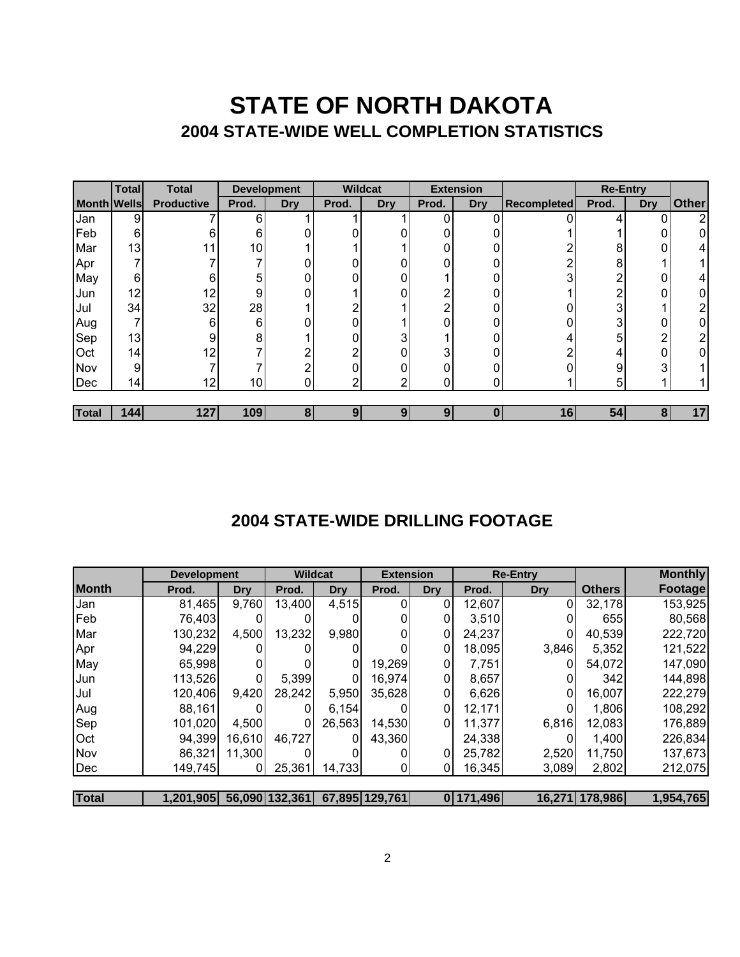## **STATE OF NORTH DAKOTA 2004 STATE-WIDE WELL COMPLETION STATISTICS**

|                    | <b>Total</b> | <b>Total</b>      | <b>Development</b> |            | <b>Wildcat</b> |     | <b>Extension</b> |            |                    |                |            | <b>Re-Entry</b> |  |  |
|--------------------|--------------|-------------------|--------------------|------------|----------------|-----|------------------|------------|--------------------|----------------|------------|-----------------|--|--|
| <b>Month Wells</b> |              | <b>Productive</b> | Prod.              | <b>Dry</b> | Prod.          | Dry | Prod.            | <b>Dry</b> | <b>Recompleted</b> | Prod.          | <b>Dry</b> | <b>Other</b>    |  |  |
| Jan                | 9            |                   | 6                  |            |                |     | 0                |            |                    |                | 0          | $\overline{2}$  |  |  |
| Feb                | 6            | 6                 | 6                  |            |                |     | 0                |            |                    |                | 0          | 0               |  |  |
| Mar                | 13           |                   | 10 <sub>1</sub>    |            |                |     | 0                |            | ົ                  | 8              | 0          | 4               |  |  |
| Apr                |              |                   |                    |            | ი              |     | 0                |            | ∩                  | 8              |            |                 |  |  |
| May                | 6            | 6                 | 5                  |            | 0              |     |                  |            | 3                  | 2              | 0          | 4               |  |  |
| Jun                | 12           | 12                | 9                  |            |                | 0   | n                |            |                    | ∩              | 0          | 0               |  |  |
| Jul                | 34           | 32                | 28                 |            |                |     | ⌒                |            |                    | 3              |            | 2               |  |  |
| Aug                |              | 6                 | 6                  |            | 0              |     | 0                |            |                    | 3              | 0          | 0               |  |  |
| Sep                | 13           | 9                 | 8                  |            | 0              | 3   |                  |            | 4                  | 5              | ◠          | 2               |  |  |
| Oct                | 14           | 12                |                    | ◠          | ົ              | 0   | 3                |            | ∩                  | $\overline{4}$ | 0          | 0               |  |  |
| Nov                | 9            |                   |                    | ◠          | 0              |     | 0                |            |                    | 9              | 3          |                 |  |  |
| Dec                | 14           | 12                | 10 <sub>l</sub>    |            | ົ              | ⌒   | 0                | 0          |                    | 5              |            |                 |  |  |
|                    |              |                   |                    |            |                |     |                  |            |                    |                |            |                 |  |  |
| Total              | 144          | 127               | 109                | 8          | 9              | 9   | 9                | 0          | 16                 | 54             | 8          | 17              |  |  |

#### **2004 STATE-WIDE DRILLING FOOTAGE**

|              | <b>Development</b> |            | <b>Wildcat</b> |            | <b>Extension</b> |                | <b>Re-Entry</b> |                |                | <b>Monthly</b> |
|--------------|--------------------|------------|----------------|------------|------------------|----------------|-----------------|----------------|----------------|----------------|
| <b>Month</b> | Prod.              | <b>Dry</b> | Prod.          | <b>Dry</b> | Prod.            | <b>Dry</b>     | Prod.           | <b>Dry</b>     | <b>Others</b>  | <b>Footage</b> |
| Jan          | 81,465             | 9,760      | 13,400         | 4,515      |                  | 01             | 12,607          | $\overline{0}$ | 32,178         | 153,925        |
| <b>Feb</b>   | 76,403             | ΩI         |                |            |                  | 0              | 3,510           | 0              | 655            | 80,568         |
| Mar          | 130,232            | 4,500      | 13,232         | 9,980      |                  | 0              | 24,237          | 0              | 40,539         | 222,720        |
| Apr          | 94,229             | OI         |                |            |                  | 01             | 18,095          | 3,846          | 5,352          | 121,522        |
| May          | 65,998             | 01         |                | 0          | 19,269           | $\overline{0}$ | 7,751           | 0              | 54,072         | 147,090        |
| Jun          | 113,526            | $\Omega$   | 5,399          | 0          | 16,974           | 01             | 8,657           | 0              | 342            | 144,898        |
| Jul          | 120,406            | 9,420      | 28,242         | 5,950      | 35,628           | 01             | 6,626           | 0              | 16,007         | 222,279        |
| Aug          | 88,161             |            |                | 6.154      |                  | 01             | 12,171          | 0              | 1,806          | 108,292        |
| Sep          | 101,020            | 4,500      |                | 26,563     | 14,530           | 01             | 11,377          | 6,816          | 12,083         | 176,889        |
| Oct          | 94,399             | 16,610     | 46,727         |            | 43,360           |                | 24,338          | 0              | 1,400          | 226,834        |
| <b>Nov</b>   | 86,321             | 11,300     |                |            |                  | 01             | 25,782          | 2,520          | 11,750         | 137,673        |
| Dec          | 149,745            | 01         | 25,361         | 14,733     |                  | 01             | 16,345          | 3,089          | 2,802          | 212,075        |
|              |                    |            |                |            |                  |                |                 |                |                |                |
| <b>Total</b> | 1,201,905          |            | 56,090 132,361 |            | 67,895 129,761   |                | 0 171,496       |                | 16,271 178,986 | 1,954,765      |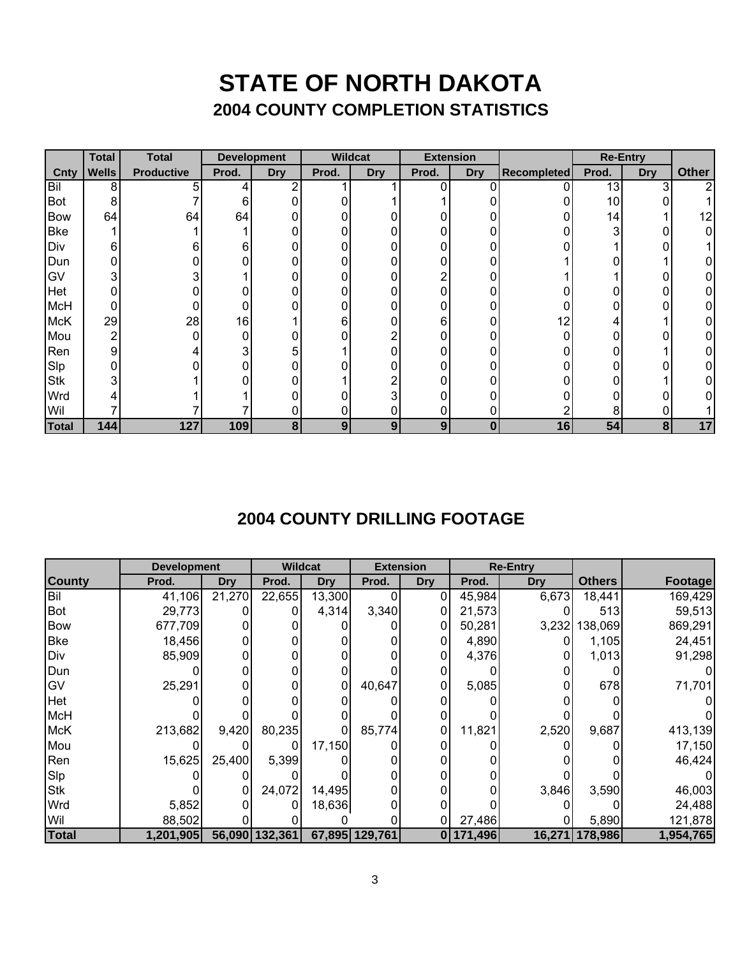### **STATE OF NORTH DAKOTA 2004 COUNTY COMPLETION STATISTICS**

|              | <b>Total</b> | <b>Total</b>      |       | <b>Development</b> | <b>Wildcat</b> |                | <b>Extension</b> |            |                    |       | <b>Re-Entry</b> |              |
|--------------|--------------|-------------------|-------|--------------------|----------------|----------------|------------------|------------|--------------------|-------|-----------------|--------------|
| Cnty         | <b>Wells</b> | <b>Productive</b> | Prod. | <b>Dry</b>         | Prod.          | <b>Dry</b>     | Prod.            | <b>Dry</b> | <b>Recompleted</b> | Prod. | <b>Dry</b>      | <b>Other</b> |
| Bil          | 8            | 5                 | 4     |                    |                |                | 0                | 0          | 0                  | 13    | 3               | 2            |
| <b>Bot</b>   | 8            |                   | 6     | 0                  |                |                |                  |            |                    | 10    |                 |              |
| <b>Bow</b>   | 64           | 64                | 64    | 0                  |                |                |                  | 0          | 0                  | 14    |                 | 12           |
| <b>Bke</b>   |              |                   |       | 0                  |                | 0              | 0                | 0          |                    | ົ     | 0               | 0            |
| Div          | 6            | 6                 | 6     | 0                  |                | 0              | 0                | 0          |                    |       | 0               |              |
| Dun          |              |                   |       | 0                  |                | 0              | 0                | 0          |                    |       |                 | 0            |
| GV           | 3            |                   |       | 0                  |                | 0              | ົ                | 0          |                    |       | ი               | 0            |
| Het          |              |                   |       |                    |                | 0              | ი                |            |                    |       |                 | 0            |
| <b>McH</b>   | 0            |                   |       |                    |                | 0              |                  |            |                    |       |                 | 0            |
| <b>McK</b>   | 29           | 28                | 16    |                    | 6              | 0              | 6                |            | 12                 |       |                 | 0            |
| Mou          | 2            |                   | 0     | 0                  |                |                |                  | በ          | $\Omega$           |       |                 | ი            |
| Ren          | 9            |                   | 3     | 5                  |                | N              |                  |            |                    |       |                 | 0            |
| Slp          |              |                   |       | 0                  |                | N              | ი                | 0          |                    |       | ∩               | 0            |
| <b>Stk</b>   | 3            |                   |       | 0                  |                | ⌒              | ი                | 0          |                    |       |                 | 0            |
| Wrd          |              |                   |       | ი                  |                | 3              | ი                | 0          |                    |       | n               | 0            |
| Wil          |              |                   |       | 0                  |                | 0              | 0                | 0          |                    | 8     |                 |              |
| <b>Total</b> | 144          | 127               | 109   | 8                  | 9              | 9 <sub>1</sub> | 9                | 0          | 16                 | 54    | 8               | 17           |

### **2004 COUNTY DRILLING FOOTAGE**

|               | <b>Development</b> |            | <b>Wildcat</b> |            |                | <b>Extension</b> | <b>Re-Entry</b> |            |                |           |
|---------------|--------------------|------------|----------------|------------|----------------|------------------|-----------------|------------|----------------|-----------|
| <b>County</b> | Prod.              | <b>Dry</b> | Prod.          | <b>Dry</b> | Prod.          | <b>Dry</b>       | Prod.           | <b>Dry</b> | <b>Others</b>  | Footage   |
| Bil           | 41,106             | 21,270     | 22,655         | 13,300     |                | 0                | 45,984          | 6,673      | 18,441         | 169,429   |
| Bot           | 29,773             |            |                | 4,314      | 3,340          | 0                | 21,573          |            | 513            | 59,513    |
| <b>Bow</b>    | 677,709            |            |                |            |                | 0                | 50,281          |            | 3,232 138,069  | 869,291   |
| <b>Bke</b>    | 18,456             |            |                |            |                | 0                | 4,890           |            | 1,105          | 24,451    |
| Div           | 85,909             |            |                |            |                | 0                | 4,376           |            | 1,013          | 91,298    |
| Dun           |                    |            |                |            |                |                  |                 |            |                |           |
| <b>GV</b>     | 25,291             |            |                | 0          | 40,647         |                  | 5,085           |            | 678            | 71,701    |
| Het           |                    |            |                |            |                |                  |                 |            |                |           |
| <b>McH</b>    |                    |            |                |            |                |                  |                 |            |                |           |
| <b>McK</b>    | 213,682            | 9,420      | 80,235         |            | 85,774         | 0                | 11,821          | 2,520      | 9,687          | 413,139   |
| Mou           |                    |            |                | 17,150     |                |                  |                 |            |                | 17,150    |
| Ren           | 15,625             | 25,400     | 5,399          |            |                |                  |                 |            |                | 46,424    |
| Slp           |                    |            |                |            |                |                  |                 |            |                |           |
| <b>Stk</b>    |                    |            | 24,072         | 14,495     |                |                  |                 | 3,846      | 3,590          | 46,003    |
| Wrd           | 5,852              |            |                | 18,636     |                |                  |                 |            |                | 24,488    |
| Wil           | 88,502             |            |                |            |                |                  | 27,486          |            | 5,890          | 121,878   |
| <b>Total</b>  | 1,201,905          |            | 56,090 132,361 |            | 67,895 129,761 | $\mathbf{0}$     | 171,496         |            | 16,271 178,986 | 1,954,765 |